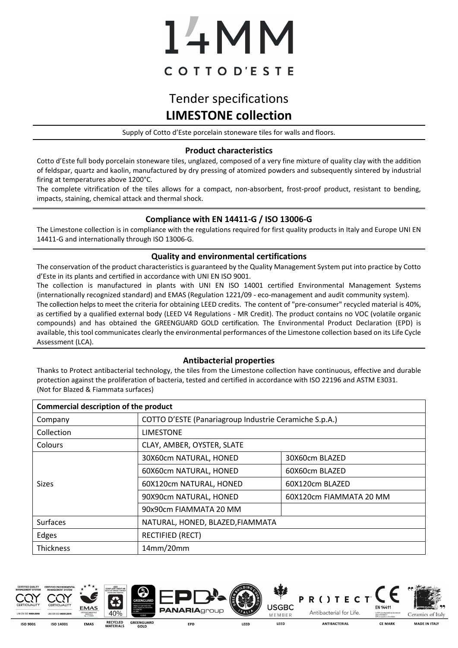# 14MM COTTOD'ESTE

# Tender specifications **LIMESTONE collection**

Supply of Cotto d'Este porcelain stoneware tiles for walls and floors.

## **Product characteristics**

Cotto d'Este full body porcelain stoneware tiles, unglazed, composed of a very fine mixture of quality clay with the addition of feldspar, quartz and kaolin, manufactured by dry pressing of atomized powders and subsequently sintered by industrial firing at temperatures above 1200°C.

The complete vitrification of the tiles allows for a compact, non-absorbent, frost-proof product, resistant to bending, impacts, staining, chemical attack and thermal shock.

## **Compliance with EN 14411-G / ISO 13006-G**

The Limestone collection is in compliance with the regulations required for first quality products in Italy and Europe UNI EN 14411-G and internationally through ISO 13006-G.

#### **Quality and environmental certifications**

The conservation of the product characteristics is guaranteed by the Quality Management System put into practice by Cotto d'Este in its plants and certified in accordance with UNI EN ISO 9001.

The collection is manufactured in plants with UNI EN ISO 14001 certified Environmental Management Systems (internationally recognized standard) and EMAS (Regulation 1221/09 - eco-management and audit community system). The collection helps to meet the criteria for obtaining LEED credits. The content of "pre-consumer" recycled material is 40%, as certified by a qualified external body (LEED V4 Regulations - MR Credit). The product contains no VOC (volatile organic compounds) and has obtained the GREENGUARD GOLD certification. The Environmental Product Declaration (EPD) is available, this tool communicates clearly the environmental performances of the Limestone collection based on its Life Cycle Assessment (LCA).

## **Antibacterial properties**

Thanks to Protect antibacterial technology, the tiles from the Limestone collection have continuous, effective and durable protection against the proliferation of bacteria, tested and certified in accordance with ISO 22196 and ASTM E3031. (Not for Blazed & Fiammata surfaces)

| <b>Commercial description of the product</b> |                                                        |                         |  |  |  |
|----------------------------------------------|--------------------------------------------------------|-------------------------|--|--|--|
| Company                                      | COTTO D'ESTE (Panariagroup Industrie Ceramiche S.p.A.) |                         |  |  |  |
| Collection                                   | <b>LIMESTONE</b>                                       |                         |  |  |  |
| Colours                                      | CLAY, AMBER, OYSTER, SLATE                             |                         |  |  |  |
| <b>Sizes</b>                                 | 30X60cm NATURAL, HONED                                 | 30X60cm BLAZED          |  |  |  |
|                                              | 60X60cm NATURAL, HONED                                 | 60X60cm BLAZED          |  |  |  |
|                                              | 60X120cm NATURAL, HONED                                | 60X120cm BLAZED         |  |  |  |
|                                              | 90X90cm NATURAL, HONED                                 | 60X120cm FIAMMATA 20 MM |  |  |  |
|                                              | 90x90cm FIAMMATA 20 MM                                 |                         |  |  |  |
| <b>Surfaces</b>                              | NATURAL, HONED, BLAZED, FIAMMATA                       |                         |  |  |  |
| Edges                                        | <b>RECTIFIED (RECT)</b>                                |                         |  |  |  |
| <b>Thickness</b>                             | 14mm/20mm                                              |                         |  |  |  |